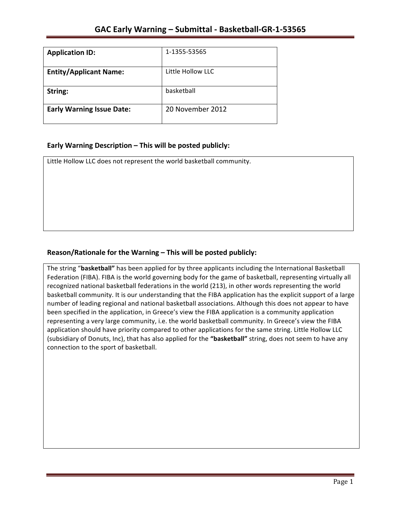| <b>Application ID:</b>           | 1-1355-53565      |
|----------------------------------|-------------------|
| <b>Entity/Applicant Name:</b>    | Little Hollow LLC |
| String:                          | basketball        |
| <b>Early Warning Issue Date:</b> | 20 November 2012  |

## **Early Warning Description – This will be posted publicly:**

Little Hollow LLC does not represent the world basketball community.

## Reason/Rationale for the Warning – This will be posted publicly:

The string "basketball" has been applied for by three applicants including the International Basketball Federation (FIBA). FIBA is the world governing body for the game of basketball, representing virtually all recognized national basketball federations in the world (213), in other words representing the world basketball community. It is our understanding that the FIBA application has the explicit support of a large number of leading regional and national basketball associations. Although this does not appear to have been specified in the application, in Greece's view the FIBA application is a community application representing a very large community, i.e. the world basketball community. In Greece's view the FIBA application should have priority compared to other applications for the same string. Little Hollow LLC (subsidiary of Donuts, Inc), that has also applied for the "basketball" string, does not seem to have any connection to the sport of basketball.